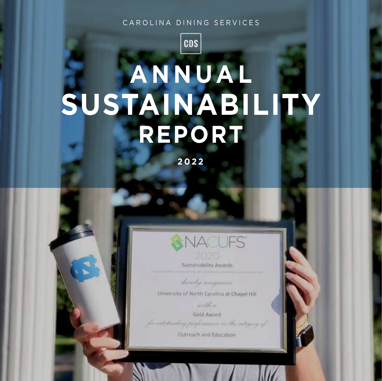#### CAROLINA DINING SERVICES

**CDS** 

# **A N N UA L SUSTAINABILITY REPORT**

**2 0 2 2**



Sustainability Awards

horoby recognises

University of North Carolina at Chapel Hill

with

Gold Award for entstanding performance in the category of

Outreach and Education

U N C - C H A P E L H I L L **0 1**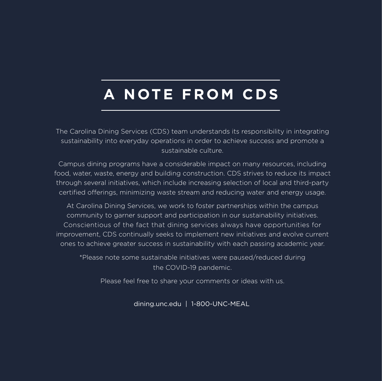# and Lenoir in fall 2014 to determine relative percentage of total compost in the facilities related to **A N OTE F R O M CDS**

The Carolina Dining Services (CDS) team understands its responsibility in integrating sustainability into everyday operations in order to achieve success and promote a this message in spring 2015 to include bringing farmers within the Carolina Dining Services supply sustainable culture.

chain to campus to engage with students. Campus dining programs have a considerable impact on many resources, including food, water, waste, energy and building construction. CDS strives to reduce its impact through several initiatives, which include increasing selection of local and third-party certified offerings, minimizing waste stream and reducing water and energy usage.

At Carolina Dining Services, we work to foster partnerships within the campus community to garner support and participation in our sustainability initiatives.<br>improvement, CDS continually seeks to implement new initiatives and evolve current ones to achieve greater success in sustainability with each passing academic year. Conscientious of the fact that dining services always have opportunities for

> \*Please note some sustainable initiatives were paused/reduced during the COVID-19 pandemic.

Please feel free to share your comments or ideas with us.

dining.unc.edu | 1-800-UNC-MEAL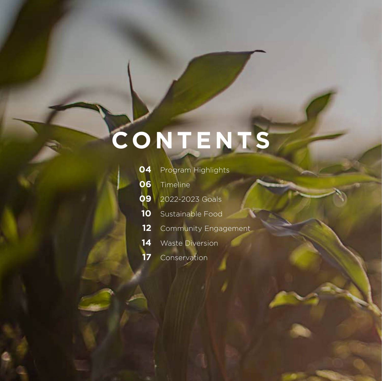#### Conduct a "Feeding The 5,000" event in fall 2014 to raise awareness around food waste among  $t \sim \alpha$  and the campus community. Develop follow-up education for  $r$ this message in spring 2015 to include bringing farmers with  $\mathcal{L}$  and  $\mathcal{L}$   $\mathcal{L}$   $\mathcal{L}$   $\mathcal{L}$  and  $\mathcal{L}$   $\mathcal{L}$  and  $\mathcal{L}$  and  $\mathcal{L}$  and  $\mathcal{L}$  and  $\mathcal{L}$  and  $\mathcal{L}$  and  $\mathcal{L}$  and  $\mathcal{L}$ **CO NTENTS**

Perform food waste of pre-consumer versus post-consumer food waste assessment in Rams Head and Lenoir in fall 2014 to determine relative percentage of total compost in the facilities related to production versus consumer. Utilize this information to inform and educate customers in spring

**OUR GOALS FOR THE YEAR**

2015 food waste reduction campaign in the dining halls.

Food & Waste Awareness & Education

chain to campus to engage with students.

|    | <b>04</b> Program Highlights   |
|----|--------------------------------|
|    | <b>06</b> Timeline             |
|    | <b>09</b> 2022-2023 Goals      |
| 10 | Sustainable Food               |
|    | <b>12</b> Community Engagement |
| 14 | <b>Waste Diversion</b>         |
|    | Conservation                   |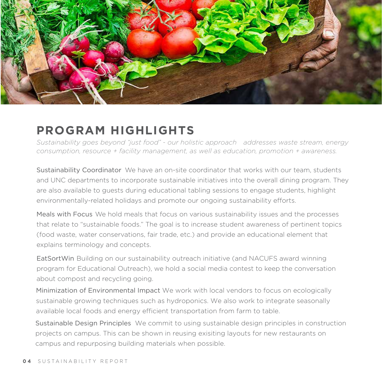

## **PROGRAM HIGHLIGHTS**

*Sustainability goes beyond "just food" - our holistic approach addresses waste stream, energy consumption, resource + facility management, as well as education, promotion + awareness.*

Sustainability Coordinator We have an on-site coordinator that works with our team, students and UNC departments to incorporate sustainable initiatives into the overall dining program. They are also available to guests during educational tabling sessions to engage students, highlight environmentally-related holidays and promote our ongoing sustainability efforts.

Meals with Focus We hold meals that focus on various sustainability issues and the processes that relate to "sustainable foods." The goal is to increase student awareness of pertinent topics (food waste, water conservations, fair trade, etc.) and provide an educational element that explains terminology and concepts.

EatSortWin Building on our sustainability outreach initiative (and NACUFS award winning program for Educational Outreach), we hold a social media contest to keep the conversation about compost and recycling going.

Minimization of Environmental Impact We work with local vendors to focus on ecologically sustainable growing techniques such as hydroponics. We also work to integrate seasonally available local foods and energy efficient transportation from farm to table.

Sustainable Design Principles We commit to using sustainable design principles in construction projects on campus. This can be shown in reusing exisiting layouts for new restaurants on campus and repurposing building materials when possible.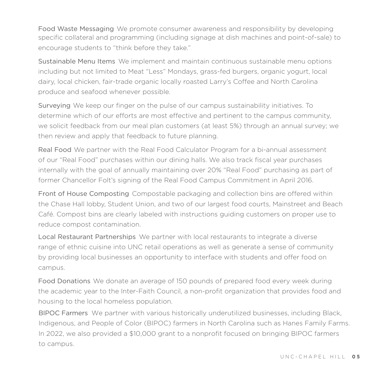Food Waste Messaging We promote consumer awareness and responsibility by developing specific collateral and programming (including signage at dish machines and point-of-sale) to encourage students to "think before they take."

Sustainable Menu Items We implement and maintain continuous sustainable menu options including but not limited to Meat "Less" Mondays, grass-fed burgers, organic yogurt, local dairy, local chicken, fair-trade organic locally roasted Larry's Coffee and North Carolina produce and seafood whenever possible.

Surveying We keep our finger on the pulse of our campus sustainability initiatives. To determine which of our efforts are most effective and pertinent to the campus community, we solicit feedback from our meal plan customers (at least 5%) through an annual survey; we then review and apply that feedback to future planning.

Real Food We partner with the Real Food Calculator Program for a bi-annual assessment of our "Real Food" purchases within our dining halls. We also track fiscal year purchases internally with the goal of annually maintaining over 20% "Real Food" purchasing as part of former Chancellor Folt's signing of the Real Food Campus Commitment in April 2016.

Front of House Composting Compostable packaging and collection bins are offered within the Chase Hall lobby, Student Union, and two of our largest food courts, Mainstreet and Beach Café. Compost bins are clearly labeled with instructions guiding customers on proper use to reduce compost contamination.

Local Restaurant Partnerships We partner with local restaurants to integrate a diverse range of ethnic cuisine into UNC retail operations as well as generate a sense of community by providing local businesses an opportunity to interface with students and offer food on campus.

Food Donations We donate an average of 150 pounds of prepared food every week during the academic year to the Inter-Faith Council, a non-profit organization that provides food and housing to the local homeless population.

BIPOC Farmers We partner with various historically underutilized businesses, including Black, Indigenous, and People of Color (BIPOC) farmers in North Carolina such as Hanes Family Farms. In 2022, we also provided a \$10,000 grant to a nonprofit focused on bringing BIPOC farmers to campus.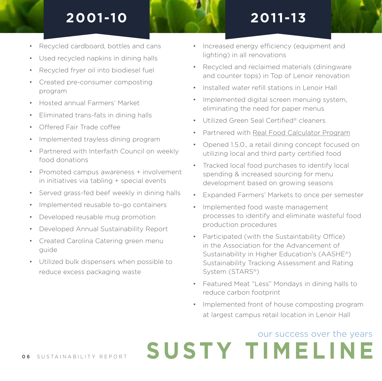

- Recycled cardboard, bottles and cans
- Used recycled napkins in dining halls
- Recycled fryer oil into biodiesel fuel
- Created pre-consumer composting program
- Hosted annual Farmers' Market
- Eliminated trans-fats in dining halls
- Offered Fair Trade coffee
- Implemented trayless dining program
- Partnered with Interfaith Council on weekly food donations
- Promoted campus awareness + involvement in initiatives via tabling + special events
- Served grass-fed beef weekly in dining halls
- Implemented reusable to-go containers
- Developed reusable mug promotion
- Developed Annual Sustainability Report
- Created Carolina Catering green menu guide
- Utilized bulk dispensers when possible to reduce excess packaging waste
- Increased energy efficiency (equipment and lighting) in all renovations
- Recycled and reclaimed materials (diningware and counter tops) in Top of Lenoir renovation
- Installed water refill stations in Lenoir Hall
- Implemented digital screen menuing system, eliminating the need for paper menus
- Utilized Green Seal Certified® cleaners
- Partnered with Real Food Calculator Program
- Opened 1.5.0., a retail dining concept focused on utilizing local and third party certified food
- Tracked local food purchases to identify local spending & increased sourcing for menu development based on growing seasons
- Expanded Farmers' Markets to once per semester
- Implemented food waste management processes to identify and eliminate wasteful food production procedures
- Participated (with the Sustaintability Office) in the Association for the Advancement of Sustainability in Higher Education's (AASHE®) Sustainability Tracking Assessment and Rating System (STARS®)
- Featured Meat "Less" Mondays in dining halls to reduce carbon footprint
- Implemented front of house composting program at largest campus retail location in Lenoir Hall

**SUSTY TIMELINE** 

## our success over the years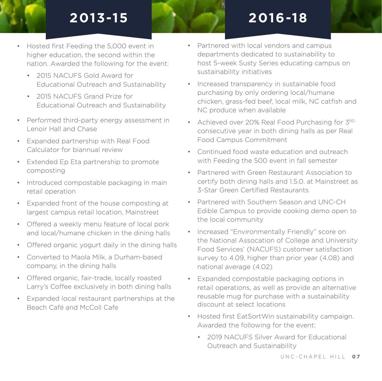## **2013-15 2016-18**

- Hosted first Feeding the 5,000 event in higher education, the second within the nation. Awarded the following for the event:
	- 2015 NACUFS Gold Award for Educational Outreach and Sustainability
	- 2015 NACUES Grand Prize for Educational Outreach and Sustainability
- Performed third-party energy assessment in Lenoir Hall and Chase
- Expanded partnership with Real Food Calculator for biannual review
- Extended Ep Eta partnership to promote composting
- Introduced compostable packaging in main retail operation
- Expanded front of the house composting at largest campus retail location, Mainstreet
- Offered a weekly menu feature of local pork and local/humane chicken in the dining halls
- Offered organic yogurt daily in the dining halls
- Converted to Maola Milk, a Durham-based company, in the dining halls
- Offered organic, fair-trade, locally roasted Larry's Coffee exclusively in both dining halls
- Expanded local restaurant partnerships at the Beach Café and McColl Cafe
- Partnered with local vendors and campus departments dedicated to sustainability to host 5-week Susty Series educating campus on sustainability initiatives
- Increased transparency in sustainable food purchasing by only ordering local/humane chicken, grass-fed beef, local milk, NC catfish and NC produce when available
- Achieved over 20% Real Food Purchasing for  $3^{RD}$ consecutive year in both dining halls as per Real Food Campus Commitment
- Continued food waste education and outreach with Feeding the 500 event in fall semester
- Partnered with Green Restaurant Association to certify both dining halls and 1.5.0. at Mainstreet as 3-Star Green Certified Restaurants
- Partnered with Southern Season and UNC-CH Edible Campus to provide cooking demo open to the local community
- Increased "Environmentally Friendly" score on the National Assocation of College and University Food Services' (NACUFS) customer satisfaction survey to 4.09, higher than prior year (4.08) and national average (4.02)
- Expanded compostable packaging options in retail operations, as well as provide an alternative reusable mug for purchase with a sustainability discount at select locations
- Hosted first EatSortWin sustainability campaign. Awarded the following for the event:
	- 2019 NACUFS Silver Award for Educational Outreach and Sustainability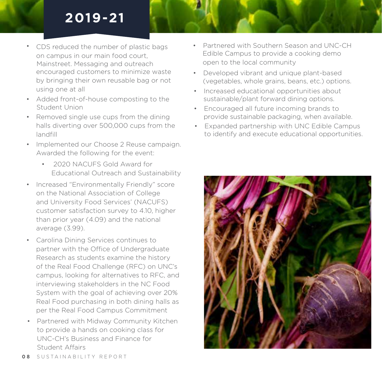## **2019-21**

- CDS reduced the number of plastic bags on campus in our main food court, encouraged customers to minimize waste by bringing their own reusable bag or not using one at all Mainstreet. Messaging and outreach
- Added front-of-house composting to the Student Union
- Removed single use cups from the dining halls diverting over 500,000 cups from the landfill
- Implemented our Choose 2 Reuse campaign. Awarded the following for the event:
	- 2020 NACUFS Gold Award for Educational Outreach and Sustainability
- Increased "Environmentally Friendly" score on the National Association of College and University Food Services' (NACUFS) customer satisfaction survey to 4.10, higher than prior year (4.09) and the national average (3.99).
- Carolina Dining Services continues to partner with the Office of Undergraduate Research as students examine the history of the Real Food Challenge (RFC) on UNC's campus, looking for alternatives to RFC, and interviewing stakeholders in the NC Food System with the goal of achieving over 20% Real Food purchasing in both dining halls as per the Real Food Campus Commitment
- Partnered with Midway Community Kitchen to provide a hands on cooking class for UNC-CH's Business and Finance for Student Affairs
- Partnered with Southern Season and UNC-CH Edible Campus to provide a cooking demo open to the local community
- Developed vibrant and unique plant-based (vegetables, whole grains, beans, etc.) options.
- Increased educational opportunities about sustainable/plant forward dining options.
- Encouraged all future incoming brands to provide sustainable packaging, when available.
- Expanded partnership with UNC Edible Campus to identify and execute educational opportunities.

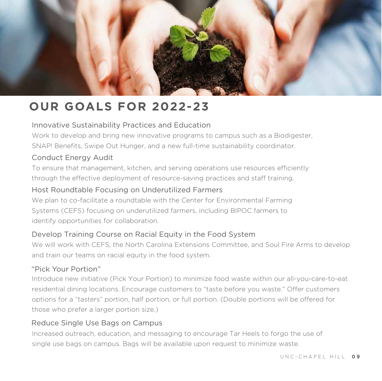

## **OUR GOALS FOR 2022-23**

#### Innovative Sustainability Practices and Education

Work to develop and bring new innovative programs to campus such as a Biodigester, SNAP! Benefits, Swipe Out Hunger, and a new full-time sustainability coordinator.

#### Conduct Energy Audit

To ensure that management, kitchen, and serving operations use resources efficiently through the effective deployment of resource-saving practices and staff training.

#### Host Roundtable Focusing on Underutilized Farmers

We plan to co-facilitate a roundtable with the Center for Environmental Farming Systems (CEFS) focusing on underutilized farmers, including BIPOC farmers to identify opportunities for collaboration.

#### Develop Training Course on Racial Equity in the Food System

We will work with CEFS, the North Carolina Extensions Committee, and Soul Fire Arms to develop and train our teams on racial equity in the food system.

#### "Pick Your Portion"

Introduce new initiative (Pick Your Portion) to minimize food waste within our all-you-care-to-eat residential dining locations. Encourage customers to "taste before you waste." Offer customers options for a "tasters" portion, half portion, or full portion. (Double portions will be offered for those who prefer a larger portion size.)

#### Reduce Single Use Bags on Campus

Increased outreach, education, and messaging to encourage Tar Heels to forgo the use of single use bags on campus. Bags will be available upon request to minimize waste.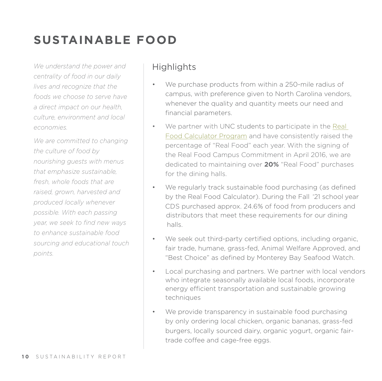## **SUSTAINABLE FOOD**

*We understand the power and centrality of food in our daily lives and recognize that the foods we choose to serve have a direct impact on our health, culture, environment and local economies.* 

*We are committed to changing the culture of food by nourishing guests with menus that emphasize sustainable, fresh, whole foods that are raised, grown, harvested and produced locally whenever possible. With each passing year, we seek to find new ways to enhance sustainable food sourcing and educational touch points.*

- We purchase products from within a 250-mile radius of campus, with preference given to North Carolina vendors, whenever the quality and quantity meets our need and financial parameters.
- We partner with UNC students to participate in the Real Food Calculator Program and have consistently raised the percentage of "Real Food" each year. With the signing of the Real Food Campus Commitment in April 2016, we are dedicated to maintaining over **20%** "Real Food" purchases for the dining halls.
- We regularly track sustainable food purchasing (as defined by the Real Food Calculator). During the Fall '21 school year CDS purchased approx. 24.6% of food from producers and halls. distributors that meet these requirements for our dining
- We seek out third-party certified options, including organic, fair trade, humane, grass-fed, Animal Welfare Approved, and "Best Choice" as defined by Monterey Bay Seafood Watch.
- Local purchasing and partners. We partner with local vendors who integrate seasonally available local foods, incorporate energy efficient transportation and sustainable growing techniques
- We provide transparency in sustainable food purchasing by only ordering local chicken, organic bananas, grass-fed burgers, locally sourced dairy, organic yogurt, organic fairtrade coffee and cage-free eggs.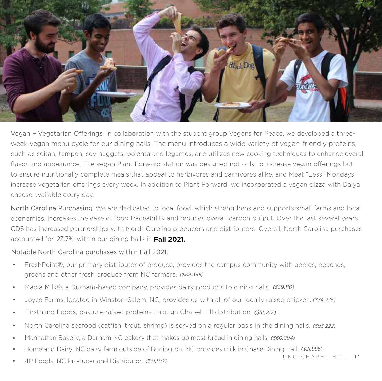

Vegan + Vegetarian Offerings In collaboration with the student group Vegans for Peace, we developed a threeweek vegan menu cycle for our dining halls. The menu introduces a wide variety of vegan-friendly proteins, such as seitan, tempeh, soy nuggets, polenta and legumes, and utilizes new cooking techniques to enhance overall flavor and appearance. The vegan Plant Forward station was designed not only to increase vegan offerings but to ensure nutritionally complete meals that appeal to herbivores and carnivores alike, and Meat "Less" Mondays increase vegetarian offerings every week. In addition to Plant Forward, we incorporated a vegan pizza with Daiya cheese available every day.

North Carolina Purchasing We are dedicated to local food, which strengthens and supports small farms and local economies, increases the ease of food traceability and reduces overall carbon output. Over the last several years, CDS has increased partnerships with North Carolina producers and distributors. Overall, North Carolina purchases accounted for 23.7% within our dining halls in **Fall 2021.**

#### Notable North Carolina purchases within Fall 2021:

- FreshPoint®, our primary distributor of produce, provides the campus community with apples, peaches, greens and other fresh produce from NC farmers. *(\$89,399)*
- Maola Milk®, a Durham-based company, provides dairy products to dining halls. *(\$59,110)*
- Joyce Farms, located in Winston-Salem, NC, provides us with all of our locally raised chicken. *(\$74,275)*
- Firsthand Foods, pasture-raised proteins through Chapel Hill distribution. (\$51,217)
- North Carolina seafood (catfish, trout, shrimp) is served on a regular basis in the dining halls. *(\$93,222)*
- Manhattan Bakery, a Durham NC bakery that makes up most bread in dining halls. *(\$60,894)*
- Homeland Dairy, NC dairy farm outside of Burlington, NC provides milk in Chase Dining Hall. *(\$21,995)*
- 4P Foods, NC Producer and Distributor. *(\$31,932)*

U N C - C H A P E L H I L L **1 1**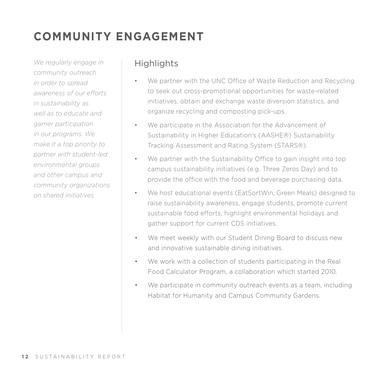## **COMMUNITY ENGAGEMENT**

*We regularly engage in community outreach in order to spread awareness of our efforts in sustainability as well as to educate and garner participation in our programs. We make it a top priority to partner with student-led environmental groups and other campus and community organizations on shared initiatives.*

- We partner with the UNC Office of Waste Reduction and Recycling to seek out cross-promotional opportunities for waste-related initiatives, obtain and exchange waste diversion statistics, and organize recycling and composting pick-ups.
- We participate in the Association for the Advancement of Sustainability in Higher Education's (AASHE®) Sustainability Tracking Assessment and Rating System (STARS®).
- We partner with the Sustainability Office to gain insight into top campus sustainability initiatives (e.g. Three Zeros Day) and to provide the office with the food and beverage purchasing data.
- We host educational events (EatSortWin, Green Meals) designed to raise sustainability awareness, engage students, promote current sustainable food efforts, highlight environmental holidays and gather support for current CDS initiatives.
- We meet weekly with our Student Dining Board to discuss new and innovative sustainable dining initiatives.
- We work with a collection of students participating in the Real Food Calculator Program, a collaboration which started 2010.
- We participate in community outreach events as a team, including Habitat for Humanity and Campus Community Gardens.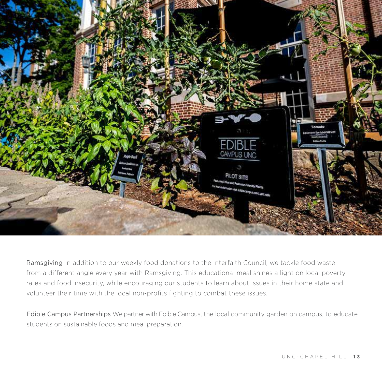

Ramsgiving In addition to our weekly food donations to the Interfaith Council, we tackle food waste from a different angle every year with Ramsgiving. This educational meal shines a light on local poverty rates and food insecurity, while encouraging our students to learn about issues in their home state and volunteer their time with the local non-profits fighting to combat these issues.

Edible Campus Partnerships We partner with Edible Campus, the local community garden on campus, to educate students on sustainable foods and meal preparation.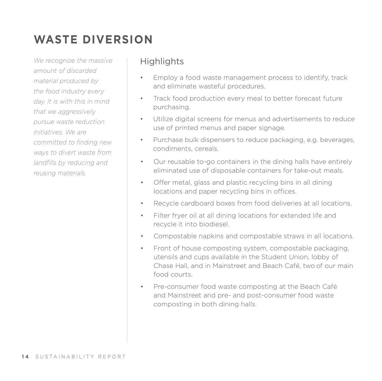## **WASTE DIVERSION**

*We recognize the massive amount of discarded material produced by the food industry every day. It is with this in mind that we aggressively pursue waste reduction initiatives. We are committed to finding new ways to divert waste from landfills by reducing and reusing materials.*

- Employ a food waste management process to identify, track and eliminate wasteful procedures.
- Track food production every meal to better forecast future purchasing.
- Utilize digital screens for menus and advertisements to reduce use of printed menus and paper signage.
- Purchase bulk dispensers to reduce packaging, e.g. beverages, condiments, cereals.
- Our reusable to-go containers in the dining halls have entirely eliminated use of disposable containers for take-out meals.
- Offer metal, glass and plastic recycling bins in all dining locations and paper recycling bins in offices.
- Recycle cardboard boxes from food deliveries at all locations.
- Filter fryer oil at all dining locations for extended life and recycle it into biodiesel.
- Compostable napkins and compostable straws in all locations.
- Front of house composting system, compostable packaging, utensils and cups available in the Student Union, lobby of Chase Hall, and in Mainstreet and Beach Café, two of our main food courts.
- Pre-consumer food waste composting at the Beach Café and Mainstreet and pre- and post-consumer food waste composting in both dining halls.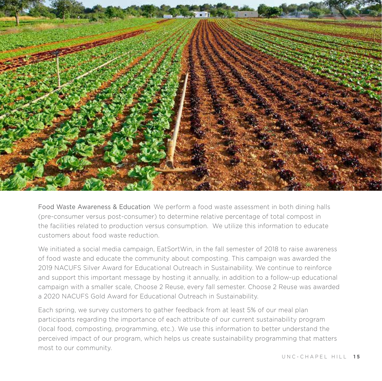

Food Waste Awareness & Education We perform a food waste assessment in both dining halls (pre-consumer versus post-consumer) to determine relative percentage of total compost in the facilities related to production versus consumption. We utilize this information to educate customers about food waste reduction.

We initiated a social media campaign, EatSortWin, in the fall semester of 2018 to raise awareness of food waste and educate the community about composting. This campaign was awarded the 2019 NACUFS Silver Award for Educational Outreach in Sustainability. We continue to reinforce and support this important message by hosting it annually, in addition to a follow-up educational campaign with a smaller scale, Choose 2 Reuse, every fall semester. Choose 2 Reuse was awarded a 2020 NACUFS Gold Award for Educational Outreach in Sustainability.

Each spring, we survey customers to gather feedback from at least 5% of our meal plan participants regarding the importance of each attribute of our current sustainability program (local food, composting, programming, etc.). We use this information to better understand the perceived impact of our program, which helps us create sustainability programming that matters most to our community.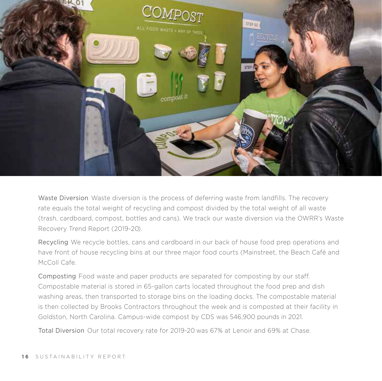

Waste Diversion Waste diversion is the process of deferring waste from landfills. The recovery rate equals the total weight of recycling and compost divided by the total weight of all waste (trash, cardboard, compost, bottles and cans). We track our waste diversion via the OWRR's Waste Recovery Trend Report (2019-20).

Recycling We recycle bottles, cans and cardboard in our back of house food prep operations and have front of house recycling bins at our three major food courts (Mainstreet, the Beach Café and McColl Cafe.

Composting Food waste and paper products are separated for composting by our staff. Compostable material is stored in 65-gallon carts located throughout the food prep and dish washing areas, then transported to storage bins on the loading docks. The compostable material is then collected by Brooks Contractors throughout the week and is composted at their facility in Goldston, North Carolina. Campus-wide compost by CDS was 546,900 pounds in 2021.

Total Diversion Our total recovery rate for 2019-20 was 67% at Lenoir and 69% at Chase.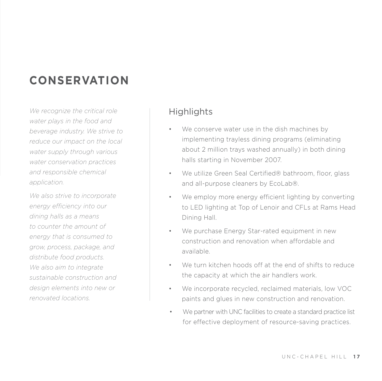## **CONSERVATION**

*We recognize the critical role water plays in the food and beverage industry. We strive to reduce our impact on the local water supply through various water conservation practices and responsible chemical application.*

*We also strive to incorporate energy efficiency into our dining halls as a means to counter the amount of energy that is consumed to grow, process, package, and distribute food products. We also aim to integrate sustainable construction and design elements into new or renovated locations.*

- We conserve water use in the dish machines by implementing trayless dining programs (eliminating about 2 million trays washed annually) in both dining halls starting in November 2007.
- We utilize Green Seal Certified® bathroom, floor, glass and all-purpose cleaners by EcoLab®.
- We employ more energy efficient lighting by converting to LED lighting at Top of Lenoir and CFLs at Rams Head Dining Hall.
- We purchase Energy Star-rated equipment in new construction and renovation when affordable and available.
- We turn kitchen hoods off at the end of shifts to reduce the capacity at which the air handlers work.
- We incorporate recycled, reclaimed materials, low VOC paints and glues in new construction and renovation.
- We partner with UNC facilities to create a standard practice list for effective deployment of resource-saving practices.